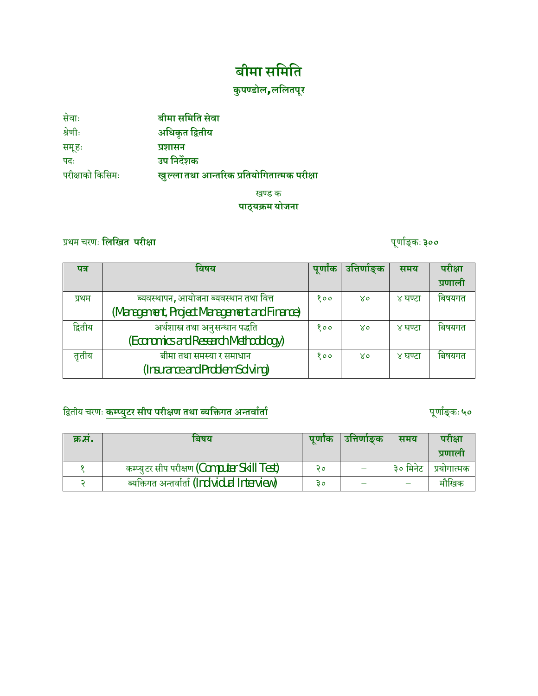# **बीमा सिमित**

## **कु पÁडोल, लिलतपूर**

| सेवाः            | बीमा समिति सेवा                            |
|------------------|--------------------------------------------|
| श्रेणीः          | अधिकृत द्वितीय                             |
| समूहः            | प्रशासन                                    |
| पदः              | उप निर्देशक                                |
| परीक्षाको किसिमः | खुल्ला तथा आन्तरिक प्रतियोगितात्मक परीक्षा |

खण्ड क **पाठ्यøम योजना**

## ÿथम चरणः **िलिखत परी±ा** पूणाªङ् कः**३००**

| पत्र    | बिषय                                         | पूर्णांक | ्उत्तिर्णाङ् <b>क</b> | समय     | परीक्षा |
|---------|----------------------------------------------|----------|-----------------------|---------|---------|
|         |                                              |          |                       |         | प्रणाली |
| प्रथम   | ब्यवस्थापन, आयोजना ब्यवस्थान तथा वित्त       | १००      | $X_0$                 | ४ घण्टा | बिषयगत  |
|         | (Management, Project Management and Finance) |          |                       |         |         |
| द्वितीय | अर्थशास्त्र तथा अनुसन्धान पद्धति             | 800      | $X_0$                 | ४ घण्टा | बिषयगत  |
|         | (Economics and Research Methodology)         |          |                       |         |         |
| तृतीय   | बीमा तथा समस्या र समाधान                     | 800      | $X_0$                 | ४ घण्टा | बिषयगत  |
|         | (Insurance and Problem Solving)              |          |                       |         |         |

## िĬतीय चरणः **कÌÈयुटर सीप परी±ण तथा Êयिĉगत अÆतवाªताª** पूणाªङ् कः **५०**

| क्र.स. | पणांक<br>बिषय                                 |    | उत्तिणोङक | समय      | परीक्षा     |
|--------|-----------------------------------------------|----|-----------|----------|-------------|
|        |                                               |    |           |          | प्रणाला     |
|        | कम्प्युटर सीप परीक्षण (Computer Skill Test)   | 20 |           | ३० मिनेट | प्रयोगात्मक |
|        | ब्यक्तिगत अन्तर्वार्ता (Individual Interview) | З٥ |           |          | मौखिक       |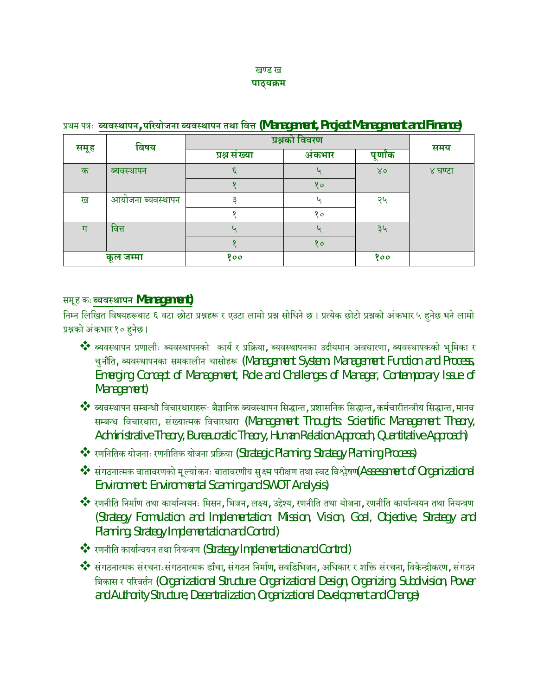#### खण्ड ख **पाठ्यøम**

| $\mathbf{r}$<br>- 1<br>. |                   |                |        |          |         |
|--------------------------|-------------------|----------------|--------|----------|---------|
| बिषय                     |                   | प्रश्नको विवरण |        |          | समय     |
| समूह                     |                   | प्रश्न संख्या  | अंकभार | पूर्णांक |         |
| क                        | ब्यवस्थापन        |                | u      | 80       | ४ घण्टा |
|                          |                   |                | १०     |          |         |
| ख                        | आयोजना ब्यवस्थापन |                | u      | २५       |         |
|                          |                   |                | १०     |          |         |
| ग                        | वित्त             |                | u      | ३५       |         |
|                          |                   |                | १०     |          |         |
|                          | कूल जम्मा         | १००            |        | १००      |         |

#### ÿथम पýः **ÊयवÖथापन, पåरयोजना ÊयवÖथापन तथा िव° (Management, Project Management and Finance)**

#### समूह कः**ÊयवÖथापन Management)**

निम्न लिखित विषयहरूबाट ६ वटा छोटा प्रश्नहरू र एउटा लामो प्रश्न सोधिने छ। प्रत्येक छोटो प्रश्नको अंकभार ५ हनेछ भने लामो प्रश्नको अंकभार १० हनेछ।

◆ ब्यवस्थापन प्रणालीः ब्यवस्थापनको कार्य र प्रक्रिया, ब्यवस्थापनका उदीयमान अवधारणा, ब्यवस्थापकको भूमिका र चुनौति, ब्यवस्थापनका समकालीन चासोहरू (Management System: Management Function and Process, Emerging Concept of Management, Role and Challenges of Manager, Contemporary Issue of Management)

❖ ब्यवस्थापन सम्बन्धी विचारधाराहरूः बैज्ञानिक ब्यवस्थापन सिद्धान्त, प्रशासनिक सिद्धान्त, कर्मचारीतन्त्रीय सिद्धान्त, मानव सम्बन्ध विचारधारा, संख्यात्मक विचारधारा (Management Thoughts: Scientific Management Theory, Administrative Theory, Bureaucratic Theory, Human Relation Approach, Quantitative Approach)

- $\clubsuit$  रणनितिक योजनाः रणनीतिक योजना प्रक्रिया (Strategic Planning: Strategy Planning Process)
- $\clubsuit$  संगठनात्मक वातावरणको मूल्यांकनः बातावरणीय सुक्ष्म परीक्षण तथा स्वट विश्लेषण(Assessment of Organizational Environment: Environmental Scanning and SWOT Analysis)
- \*\* रणनीति निर्माण तथा कार्यान्वयनः मिसन, भिजन, लक्ष्य, उद्देश्य, रणनीति तथा योजना, रणनीति कार्यान्वयन तथा नियन्त्रण (Strategy Formulation and Implementation: Mission, Vision, Goal, Objective, Strategy and Planning, Strategy Implementation and Control)
- \*\* रणनीति कार्यान्वयन तथा नियन्त्रण (Strategy Implementation and Control)
- ❖ संगठनात्मक संरचनाःसंगठनात्मक ढाँचा, संगठन निर्माण, सवडिभिजन, अधिकार र शक्ति संरचना, विकेन्द्रीकरण, संगठन िबकास र पåरवतªन (Organizational Structure: Organizational Design, Organizing, Subdivision, Power and Authority Structure, Decentralization, Organizational Development and Change)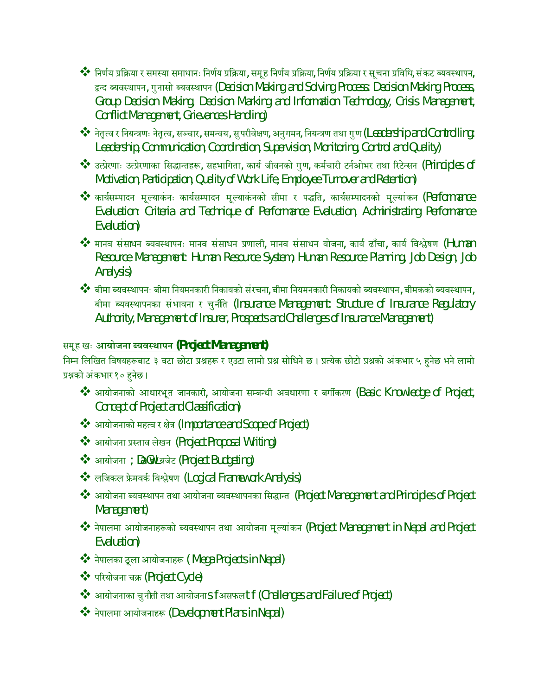- $\clubsuit$ िनिर्णय प्रक्रिया र समस्या समाधानः निर्णय प्रक्रिया, समूह निर्णय प्रक्रिया, निर्णय प्रक्रिया र सूचना प्रविधि, संकट ब्यवस्थापन, द्वन्द ब्यवस्थापन, गुनासो ब्यवस्थापन (Decision Making and Solving Process: Decision Making Process, Group Decision Making, Decision Marking and Information Technology, Crisis Management, Conflict Management, Grievances Handling)
- $\clubsuit$ े नेतृत्व र नियन्त्रणः नेतृत्व, सञ्चार, समन्वय, सुपरीवेक्षण, अनुगमन, नियन्त्रण तथा गुण (Leadership and Controlling: Leadership, Communication, Coordination, Supervision, Monitoring, Control and Quality)
- $\clubsuit$  उत्प्रेरणाः उत्प्रेरणाका सिद्धान्तहरू, सहभागिता, कार्य जीवनको गुण, कर्मचारी टर्नओभर तथा रिटेन्सन (Principles of Motivation, Participation, Quality of Work Life, Employee Turnover and Retention)
- \*\* कार्यसम्पादन मूल्याकंनः कार्यसम्पादन मूल्याकंनको सीमा र पद्धति, कार्यसम्पादनको मूल्यांकन (Performance Evaluation: Criteria and Technique of Performance Evaluation, Administrating Performance Evaluation)
- $\clubsuit$  मानव संसाधन ब्यवस्थापनः मानव संसाधन प्रणाली, मानव संसाधन योजना, कार्य ढाँचा, कार्य विश्लेषण (Human Resource Management: Human Resource System, Human Resource Planning, Job Design, Job Analysis)
- \*\* बीमा ब्यवस्थापनः बीमा नियमनकारी निकायको संरचना, बीमा नियमनकारी निकायको ब्यवस्थापन, बीमकको ब्यवस्थापन, बीमा ब्यवस्थापनका संभावना र चुनौति (Insurance Management: Structure of Insurance Regulatory Authority, Management of Insurer, Prospects and Challenges of Insurance Management)

#### समूह खः **आयोजना ÊयवÖथापन (Project Management)**

निम्न लिखित विषयहरूबाट ३ वटा छोटा प्रश्नहरू र एउटा लामो प्रश्न सोधिने छ । प्रत्येक छोटो प्रश्नको अंकभार ५ हनेछ भने लामो प्रश्नको अंकभार १० हुनेछ।

- $\clubsuit$  आयोजनाको आधारभूत जानकारी, आयोजना सम्बन्धी अवधारणा र बर्गीकरण (Basic Knowledge of Project, Concept of Project and Classification)
- <u>❖ आयोजनाको महत्व र क्षेत्र</u> (Importance and Scope of Project)
- ◆ आयोजना प्रस्ताव लेखन (Project Proposal Writing)
- आयोजना ;DaGwL बजेट (Project Budgeting)
- <u>❖ लजिकल फ्रेमवर्क विश्लेषण (Logical Framework Analysis)</u>
- \*\* आयोजना ब्यवस्थापन तथा आयोजना ब्यवस्थापनका सिद्धान्त (Project Management and Principles of Project Management)
- \*\* नेपालमा आयोजनाहरूको ब्यवस्थापन तथा आयोजना मूल्यांकन (Project Management in Nepal and Project Evaluation)
- नेपालका ठू ला आयोजनाहł ( Mega Projects in Nepal)
- पåरयोजना चø (Project Cycle)
- आयोजनाका चुनौती तथा आयोजनाsf असफलtf (Challenges and Failure of Project)
- नेपालमा आयोजनाहł (Development Plans in Nepal)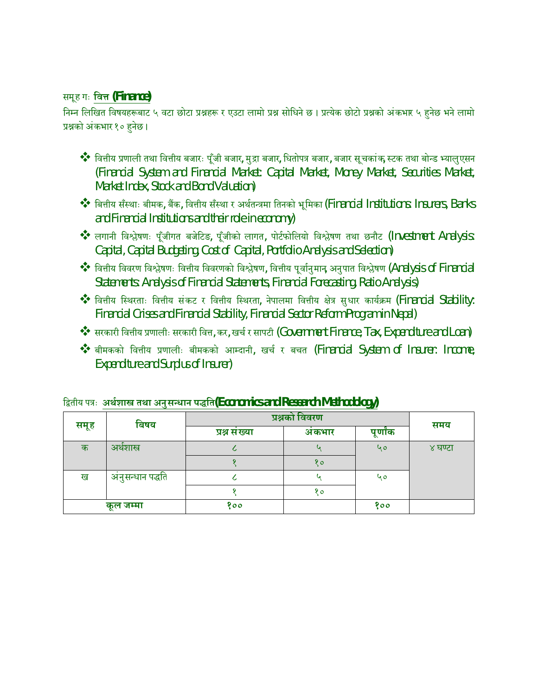#### समूह गः **िव° (Finance)**

निम्न लिखित विषयहरूबाट ५ वटा छोटा प्रश्नहरू र एउटा लामो प्रश्न सोधिने छ। प्रत्येक छोटो प्रश्नको अंकभार ५ हुनेछ भने लामो प्रश्नको अंकभार १० हनेछ।

- ❖ वित्तीय प्रणाली तथा वित्तीय बजारः पूँजी बजार, मुद्रा बजार, धितोपत्र बजार, बजार सूचकांक स्टक तथा बोन्ड भ्यालुएसन (Financial System and Financial Market: Capital Market, Money Market, Securities Market, Market Index, Stock and Bond Valuation)
- $\dots$  बित्तीय सँस्थाः बीमक, बैंक, वित्तीय सँस्था र अर्थतन्त्रमा तिनको भूमिका (Financial Institutions: Insurers, Banks and Financial Institutions and their role in economy)
- $\clubsuit$  लगानी विश्लेषणः पूँजीगत बजेटिङ, पूँजीको लागत, पोर्टफोलियो विश्लेषण तथा छनौट (Investment Analysis: Capital, Capital Budgeting, Cost of Capital, Portfolio Analysis and Selection)
- $\clubsuit$ े वित्तीय विवरण विश्लेषणः वित्तीय विवरणको विश्लेषण, वित्तीय पूर्वानुमान अनुपात विश्लेषण (Analysis of Financial Statements: Analysis of Financial Statements, Financial Forecasting, Ratio Analysis)
- $\clubsuit$ े वित्तीय स्थिरताः वित्तीय संकट र वित्तीय स्थिरता, नेपालमा वित्तीय क्षेत्र सुधार कार्यक्रम (Financial Stability: Financial Crises and Financial Stability, Financial Sector Reform Program in Nepal)
- $\clubsuit$  सरकारी वित्तीय प्रणालीः सरकारी वित्त, कर, खर्च र सापटी (Government Finance, Tax, Expenditure and Loan)
- $\clubsuit$  बीमकको वित्तीय प्रणालीः बीमकको आम्दानी, खर्च र बचत (Financial System of Insurer: Income, Expenditure and Surplus of Insurer)

| बिषय |                  | प्रश्नको विवरण |         |     | समय     |
|------|------------------|----------------|---------|-----|---------|
| समूह | प्रश्न संख्या    | अकभार          | पूर्णाक |     |         |
| क    | अर्थशास्त्र      |                |         | 90  | ४ घण्टा |
|      |                  |                | १०      |     |         |
| ख    | अनुसन्धान पद्धति |                |         | ५०  |         |
|      |                  |                | १०      |     |         |
|      | कूल जम्मा        | १००            |         | १०० |         |

|  | द्वितीय पत्रः अर्थशास्त्र तथा अनुसन्धान पद्धति(Economics and Research Methodology) |
|--|------------------------------------------------------------------------------------|
|  |                                                                                    |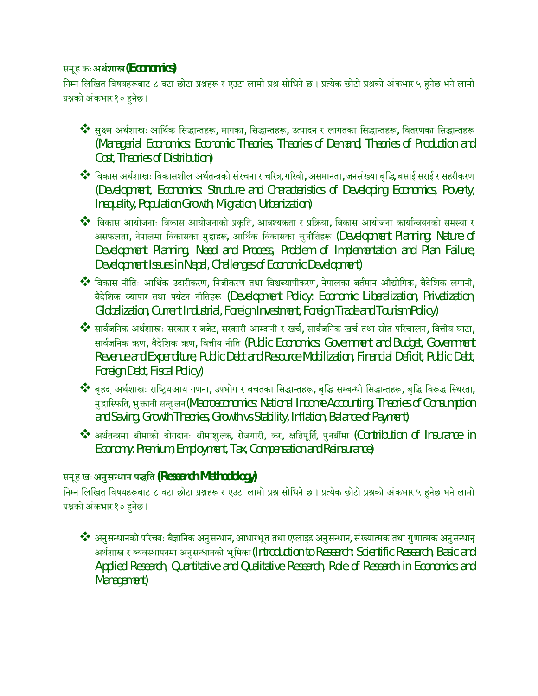#### समूह कः **अथªशाľ(Economics)**

निम्न लिखित विषयहरूबाट ८ वटा छोटा प्रश्नहरू र एउटा लामो प्रश्न सोधिने छ। प्रत्येक छोटो प्रश्नको अंकभार ५ हनेछ भने लामो प्रश्नको अंकभार १० हनेछ।

- $\clubsuit$  सुक्ष्म अर्थशास्त्रः आर्थिक सिद्धान्तहरू, मागका, सिद्धान्तहरू, उत्पादन र लागतका सिद्धान्तहरू, वितरणका सिद्धान्तहरू (Managerial Economics: Economic Theories, Theories of Demand, Theories of Production and Cost, Theories of Distribution)
- $\clubsuit$ े विकास अर्थशास्त्रः विकासशील अर्थतन्त्रको संरचना र चरित्र, गरिवी, असमानता, जनसंख्या बृद्धि बसाई सराई र सहरीकरण (Development, Economics: Structure and Characteristics of Developing Economics, Poverty, Inequality, Population Growth, Migration, Urbanization)
- $\dots$ िविकास आयोजनाः विकास आयोजनाको प्रकृति, आवश्यकता र प्रक्रिया, विकास आयोजना कार्यान्वयनको समस्या र असफलता, नेपालमा विकासका मुद्दाहरू, आर्थिक विकासका चुनौतिहरू (Development Planning: Nature of Development Planning, Need and Process, Problem of Implementation and Plan Failure, Development Issues in Nepal, Challenges of Economic Development)
- \*\* विकास नीतिः आर्थिक उदारीकरण, निजीकरण तथा विश्वब्यापीकरण, नेपालका बर्तमान औद्योगिक, बैदेशिक लगानी, बैदेशिक ब्यापार तथा पर्यटन नीतिहरू (Development Policy: Economic Liberalization, Privatization, Globalization, Current Industrial, Foreign Investment, Foreign Trade and Tourism Policy)
- \*\* सार्वजनिक अर्थशास्त्रः सरकार र बजेट, सरकारी आम्दानी र खर्च, सार्वजनिक खर्च तथा स्रोत परिचालन, वित्तीय घाटा, सार्वजनिक ऋण, बैदेशिक ऋण, वित्तीय नीति (Public Economics: Government and Budget, Government Revenue and Expenditure, Public Debt and Resource Mobilization, Financial Deficit, Public Debt, Foreign Debt, Fiscal Policy)
- ❖ बृहद् अर्थशास्त्रः राष्ट्रियआय गणना, उपभोग र बचतका सिद्धान्तहरू, बृद्धि सम्बन्धी सिद्धान्तहरू, बृद्धि विरूद्ध स्थिरता, मुद्रास्फिति, भुक्तानी सन्तुलन (Macroeconomics: National Income Accounting, Theories of Consumption and Saving, Growth Theories, Growth vs Stability, Inflation, Balance of Payment)
- $\clubsuit$  अर्थतन्त्रमा बीमाको योगदानः बीमाशुल्क, रोजगारी, कर, क्षतिपूर्ति, पुनबींमा (Contribution of Insurance in Economy: Premium, Employment, Tax, Compensation and Reinsurance)

### समूह खः अनुसन्धान पद्धति (Research Methodology)

निम्न लिखित विषयहरूबाट ८ वटा छोटा प्रश्नहरू र एउटा लामो प्रश्न सोधिने छ। प्रत्येक छोटो प्रश्नको अंकभार ५ हुनेछ भने लामो प्रश्नको अंकभार १० हुनेछ।

 $\clubsuit$  अनुसन्धानको परिचयः बैज्ञानिक अनुसन्धान, आधारभूत तथा एप्लाइड अनुसन्धान, संख्यात्मक तथा गुणात्मक अनुसन्धानृ अर्थशास्त्र र ब्यवस्थापनमा अनुसन्धानको भूमिका (Introduction to Research: Scientific Research, Basic and Applied Research, Quantitative and Qualitative Research, Role of Research in Economics and Management)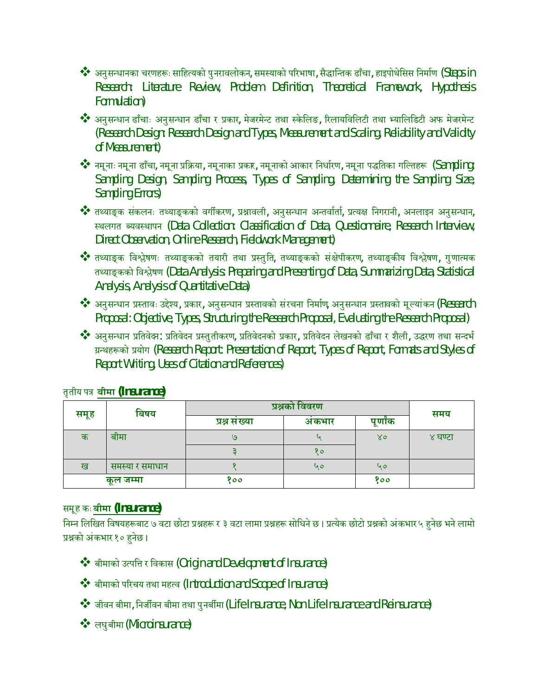- $\clubsuit$  अनुसन्धानका चरणहरूः साहित्यको पुनरावलोकन, समस्याको परिभाषा, सैद्धान्तिक ढाँचा, हाइपोथेसिस निर्माण (Steps in Research: Literature Review, Problem Definition, Theoretical Framework, Hypothesis Formulation)
- ◆ अनुसन्धान ढाँचाः अनुसन्धान ढाँचा र प्रकार, मेजरमेन्ट तथा स्केलिङ, रिलायविलिटी तथा भ्यालिडिटी अफ मेजरमेन्ट (Research Design: Research Design and Types, Measurement and Scaling, Reliability and Validity of Measurement)
- $\dots$  नमूनाः नमूना ढाँचा, नमूना प्रक्रिया, नमूनाका प्रकार, नमूनाको आकार निर्धारण, नमूना पद्धतिका गल्तिहरू  $\gamma$  (Sampling: Sampling Design, Sampling Process, Types of Sampling, Determining the Sampling Size, Sampling Errors)
- \*\* तथ्याङ्क संकलनः तथ्याङ्कको वर्गीकरण, प्रश्नावली, अनुसन्धान अन्तर्वार्ता, प्रत्यक्ष निगरानी, अनलाइन अनुसन्धान, स्थलगत ब्यवस्थापन (Data Collection: Classification of Data, Questionnaire, Research Interview, Direct Observation, Online Research, Fieldwork Management)
- $\dots$ े तथ्याङ्क विश्लेषणः तथ्याङ्कको तयारी तथा प्रस्तुति, तथ्याङ्कको संक्षेपीकरण, तथ्याङ्कीय विश्लेषण, गुणात्मक तथ्याङ्कको विश्लेषण (Data Analysis: Preparing and Presenting of Data, Summarizing Data, Statistical Analysis, Analysis of Quantitative Data)
- $\clubsuit$  अनुसन्धान प्रस्तावः उद्देश्य, प्रकार, अनुसन्धान प्रस्तावको संरचना निर्माण, अनुसन्धान प्रस्तावको मूल्यांकन (Research Proposal: Objective, Types, Structuring the Research Proposal, Evaluating the Research Proposal)
- \*\* अनुसन्धान प्रतिवेदन: प्रतिवेदन प्रस्तुतीकरण, प्रतिवेदनको प्रकार, प्रतिवेदन लेखनको ढाँचा र शैली, उद्धरण तथा सन्दर्भ ग्रन्थहरूको प्रयोग (Research Report: Presentation of Report, Types of Report, Formats and Styles of Report Writing, Uses of Citation and References)

| बिषय |                 | प्रश्नको विवरण |       |         | समय     |
|------|-----------------|----------------|-------|---------|---------|
| समूह |                 | प्रश्न संख्या  | अकभार | पूर्णाक |         |
| क    | बीमा            | 9              |       | ४०      | ४ घण्टा |
|      |                 |                | १०    |         |         |
| ख    | समस्या र समाधान |                | ५०    | ५०      |         |
|      | कूल जम्मा       | १००            |       | 800     |         |

### तृतीय पý **बीमा (Insurance)**

### समूह कः **बीमा (Insurance)**

निम्न लिखित विषयहरूबाट ७ वटा छोटा प्रश्नहरू र ३ वटा लामा प्रश्नहरू सोधिने छ। प्रत्येक छोटो प्रश्नको अंकभार ५ हनेछ भने लामो प्रश्नको अंकभार १० हनेछ।

- बीमाको उÂपि° र िवकास (Origin and Development of Insurance)
- बीमाको परिचय तथा महत्व (Introduction and Scope of Insurance)
- जीवन बीमा, िनजêवन बीमा तथा पुनबêमा (Life Insurance, Non Life Insurance and Reinsurance)
- लघुबीमा(Microinsurance)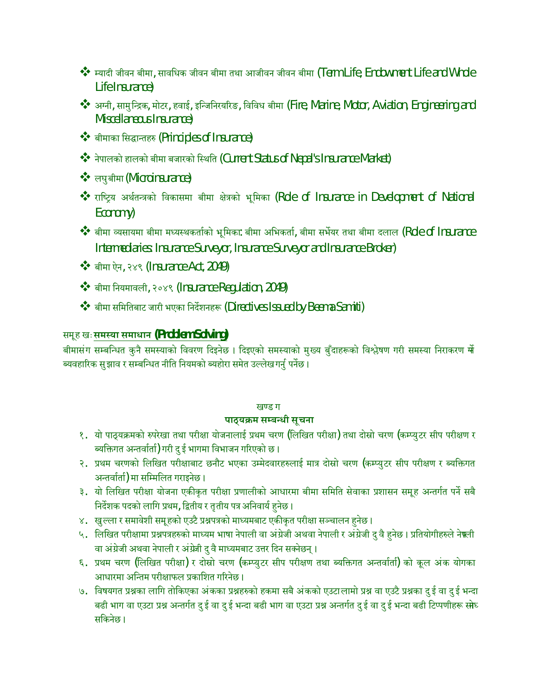- $\clubsuit$  म्यादी जीवन बीमा, सावधिक जीवन बीमा तथा आजीवन जीवन बीमा (Term Life, Endowment Life and Whole Life Insurance)
- अµनी, सामुिÆþक, मोटर, हवाई, इिÆजिनरयåरङ, िविवध बीमा (Fire, Marine, Motor, Aviation, Engineering and Miscellaneous Insurance)
- बीमाका सिद्धान्तहरु (Principles of Insurance)
- नेपालको हालको बीमा बजारको स्थिति (Current Status of Nepal's Insurance Market)
- लघुबीमा (Microinsurance)
- \*\* राष्ट्रिय अर्थतन्त्रको विकासमा बीमा क्षेत्रको भूमिका (Role of Insurance in Development of National Economy)
- $\dots$  बीमा व्यसायमा बीमा मध्यस्थकर्ताको भूमिका: बीमा अभिकर्ता, बीमा सभेँयर तथा बीमा दलाल (Role of Insurance Intermediaries: Insurance Surveyor, Insurance Surveyor and Insurance Broker)
- बीमा ऐन, २४९ (Insurance Act, 2049)
- बीमा िनयमावली, २०४९ (Insurance Regulation, 2049)
- \*\* बीमा समितिबाट जारी भएका निर्देशनहरू (Directives Issued by Beema Samiti)

#### समूह खः**समÖया समाधान (Problem Solving)**

बीमासंग सम्बन्धित कुनै समस्याको विवरण दिइनेछ । दिइएको समस्याको मुख्य बुँदाहरूको विश्लेषण गरी समस्या निराकरण <del>गो</del> <u>ब्यवहारिक सुझाव र सम्बन्धित नीति नियमको ब्यहोरा समेत उल्लेख गर्नु</u> पर्नेछ ।

#### खण्ड ग

#### पाठ्**यक्रम सम्बन्धी सूचना**

- १. यो पाठ्यक्रमको रुपरेखा तथा परीक्षा योजनालाई प्रथम चरण (लिखित परीक्षा) तथा दोस्रो चरण (कम्प्युटर सीप परीक्षण र ब्यक्तिगत अन्तर्वार्ता) गरी दु ई भागमा विभाजन गरिएको छ।
- २. प्रथम चरणको लिखित परीक्षाबाट छनौट भएका उम्मेदवारहरुलाई मात्र दोस्रो चरण (कम्प्युटर सीप परीक्षण र ब्यक्तिगत अन्तर्वार्ता) मा सम्मिलित गराइनेछ।
- ३. यो लिखित परीक्षा योजना एकीकृत परीक्षा प्रणालीको आधारमा बीमा समिति सेवाका प्रशासन समूह अन्तर्गत पर्ने सबै निर्देशक पदको लागि प्रथम, द्वितीय र तृतीय पत्र अनिवार्य हुनेछ ।
- ४. खुल्ला र समावेशी समूहको एउटै प्रश्नपत्रको माध्यमबाट एकीकृत परीक्षा सञ्चालन हुनेछ ।
- ५. लिखित परीक्षामा प्रश्नपत्रहरुको माध्यम भाषा नेपाली वा अंग्रेजी अथवा नेपाली र अंग्रेजी दु वै हुनेछ। प्रतियोगीहरुले नेफ्ली वा अंग्रेजी अथवा नेपाली र अंग्रेजी दु वै माध्यमबाट उत्तर दिन सक्नेछन् ।
- ६. प्रथम चरण (लिखित परीक्षा) र दोस्रो चरण (कम्प्युटर सीप परीक्षण तथा ब्यक्तिगत अन्तर्वाता) को कूल अंक योगका आधारमा अन्तिम परीक्षाफल प्रकाशित गरिनेछ ।
- ७. विषयगत प्रश्नका लागि तोकिएका अंकका प्रश्नहरुको हकमा सबै अंकको एउटालामो प्रश्न वा एउटै प्रश्नका दु ई वा दु ई भन्दा बढी भाग वा एउटा प्रश्न अन्तर्गत दु ई वा दु ई भन्दा बढी भाग वा एउटा प्रश्न अन्तर्गत दु ई वा दु ई भन्दा बढी टिप्पणीहरू सोध सिकनेछ ।